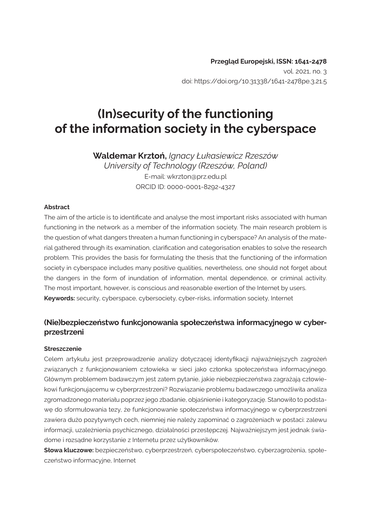# **(In)security of the functioning of the information society in the cyberspace**

**Waldemar Krztoń,** *Ignacy Łukasiewicz Rzeszów University of Technology (Rzeszów, Poland)* E-mail: wkrzton@prz.edu.pl ORCID ID: 0000-0001-8292-4327

#### **Abstract**

The aim of the article is to identificate and analyse the most important risks associated with human functioning in the network as a member of the information society. The main research problem is the question of what dangers threaten a human functioning in cyberspace? An analysis of the material gathered through its examination, clarification and categorisation enables to solve the research problem. This provides the basis for formulating the thesis that the functioning of the information society in cyberspace includes many positive qualities, nevertheless, one should not forget about the dangers in the form of inundation of information, mental dependence, or criminal activity. The most important, however, is conscious and reasonable exertion of the Internet by users. **Keywords:** security, cyberspace, cybersociety, cyber-risks, information society, Internet

#### **(Nie)bezpieczeństwo funkcjonowania społeczeństwa informacyjnego w cyberprzestrzeni**

#### **Streszczenie**

Celem artykułu jest przeprowadzenie analizy dotyczącej identyfikacji najważniejszych zagrożeń związanych z funkcjonowaniem człowieka w sieci jako członka społeczeństwa informacyjnego. Głównym problemem badawczym jest zatem pytanie, jakie niebezpieczeństwa zagrażają człowiekowi funkcjonującemu w cyberprzestrzeni? Rozwiązanie problemu badawczego umożliwiła analiza zgromadzonego materiału poprzez jego zbadanie, objaśnienie i kategoryzację. Stanowiło to podstawę do sformułowania tezy, że funkcjonowanie społeczeństwa informacyjnego w cyberprzestrzeni zawiera dużo pozytywnych cech, niemniej nie należy zapominać o zagrożeniach w postaci: zalewu informacji, uzależnienia psychicznego, działalności przestępczej. Najważniejszym jest jednak świadome i rozsądne korzystanie z Internetu przez użytkowników.

**Słowa kluczowe:** bezpieczeństwo, cyberprzestrzeń, cyberspołeczeństwo, cyberzagrożenia, społeczeństwo informacyjne, Internet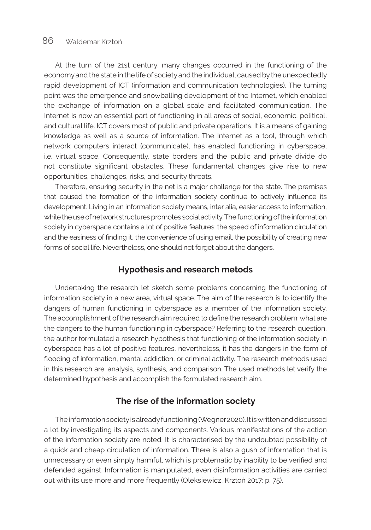At the turn of the 21st century, many changes occurred in the functioning of the economy and the state in the life of society and the individual, caused by the unexpectedly rapid development of ICT (information and communication technologies). The turning point was the emergence and snowballing development of the Internet, which enabled the exchange of information on a global scale and facilitated communication. The Internet is now an essential part of functioning in all areas of social, economic, political, and cultural life. ICT covers most of public and private operations. It is a means of gaining knowledge as well as a source of information. The Internet as a tool, through which network computers interact (communicate), has enabled functioning in cyberspace, i.e. virtual space. Consequently, state borders and the public and private divide do not constitute significant obstacles. These fundamental changes give rise to new opportunities, challenges, risks, and security threats.

Therefore, ensuring security in the net is a major challenge for the state. The premises that caused the formation of the information society continue to actively influence its development. Living in an information society means, inter alia, easier access to information, while the use of network structures promotes social activity. The functioning of the information society in cyberspace contains a lot of positive features: the speed of information circulation and the easiness of finding it, the convenience of using email, the possibility of creating new forms of social life. Nevertheless, one should not forget about the dangers.

#### **Hypothesis and research metods**

Undertaking the research let sketch some problems concerning the functioning of information society in a new area, virtual space. The aim of the research is to identify the dangers of human functioning in cyberspace as a member of the information society. The accomplishment of the research aim required to define the research problem: what are the dangers to the human functioning in cyberspace? Referring to the research question, the author formulated a research hypothesis that functioning of the information society in cyberspace has a lot of positive features, nevertheless, it has the dangers in the form of flooding of information, mental addiction, or criminal activity. The research methods used in this research are: analysis, synthesis, and comparison. The used methods let verify the determined hypothesis and accomplish the formulated research aim.

#### **The rise of the information society**

The information society is already functioning (Wegner 2020). It is written and discussed a lot by investigating its aspects and components. Various manifestations of the action of the information society are noted. It is characterised by the undoubted possibility of a quick and cheap circulation of information. There is also a gush of information that is unnecessary or even simply harmful, which is problematic by inability to be verified and defended against. Information is manipulated, even disinformation activities are carried out with its use more and more frequently (Oleksiewicz, Krztoń 2017: p. 75).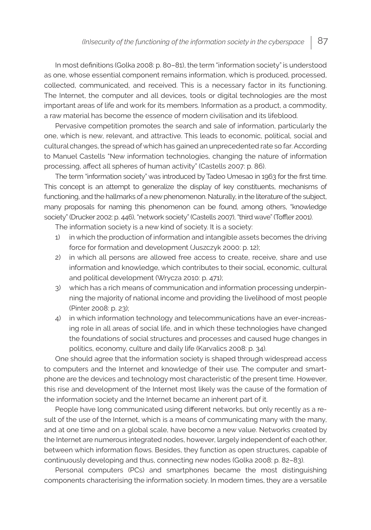In most definitions (Golka 2008: p. 80–81), the term "information society" is understood as one, whose essential component remains information, which is produced, processed, collected, communicated, and received. This is a necessary factor in its functioning. The Internet, the computer and all devices, tools or digital technologies are the most important areas of life and work for its members. Information as a product, a commodity, a raw material has become the essence of modern civilisation and its lifeblood.

Pervasive competition promotes the search and sale of information, particularly the one, which is new, relevant, and attractive. This leads to economic, political, social and cultural changes, the spread of which has gained an unprecedented rate so far. According to Manuel Castells "New information technologies, changing the nature of information processing, affect all spheres of human activity" (Castells 2007: p. 86).

The term "information society" was introduced by Tadeo Umesao in 1963 for the first time. This concept is an attempt to generalize the display of key constituents, mechanisms of functioning, and the hallmarks of a new phenomenon. Naturally, in the literature of the subject, many proposals for naming this phenomenon can be found, among others, "knowledge society" (Drucker 2002: p. 446), "network society" (Castells 2007), "third wave" (Toffler 2001).

The information society is a new kind of society. It is a society:

- 1) in which the production of information and intangible assets becomes the driving force for formation and development (Juszczyk 2000: p. 12);
- 2) in which all persons are allowed free access to create, receive, share and use information and knowledge, which contributes to their social, economic, cultural and political development (Wrycza 2010: p. 471);
- 3) which has a rich means of communication and information processing underpinning the majority of national income and providing the livelihood of most people (Pinter 2008: p. 23);
- 4) in which information technology and telecommunications have an ever-increasing role in all areas of social life, and in which these technologies have changed the foundations of social structures and processes and caused huge changes in politics, economy, culture and daily life (Karvalics 2008: p. 34).

One should agree that the information society is shaped through widespread access to computers and the Internet and knowledge of their use. The computer and smartphone are the devices and technology most characteristic of the present time. However, this rise and development of the Internet most likely was the cause of the formation of the information society and the Internet became an inherent part of it.

People have long communicated using different networks, but only recently as a result of the use of the Internet, which is a means of communicating many with the many, and at one time and on a global scale, have become a new value. Networks created by the Internet are numerous integrated nodes, however, largely independent of each other, between which information flows. Besides, they function as open structures, capable of continuously developing and thus, connecting new nodes (Golka 2008: p. 82–83).

Personal computers (PCs) and smartphones became the most distinguishing components characterising the information society. In modern times, they are a versatile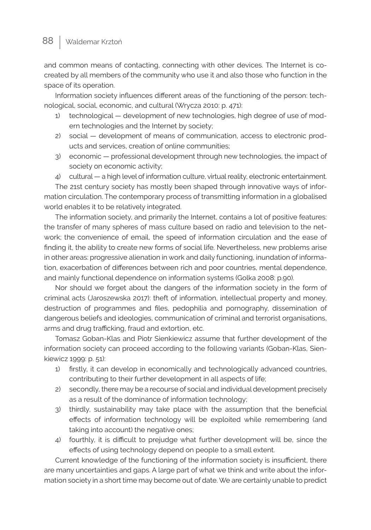and common means of contacting, connecting with other devices. The Internet is cocreated by all members of the community who use it and also those who function in the space of its operation.

Information society influences different areas of the functioning of the person: technological, social, economic, and cultural (Wrycza 2010: p. 471):

- 1) technological development of new technologies, high degree of use of modern technologies and the Internet by society;
- 2) social development of means of communication, access to electronic products and services, creation of online communities;
- 3) economic professional development through new technologies, the impact of society on economic activity;
- 4) cultural a high level of information culture, virtual reality, electronic entertainment.

The 21st century society has mostly been shaped through innovative ways of information circulation. The contemporary process of transmitting information in a globalised world enables it to be relatively integrated.

The information society, and primarily the Internet, contains a lot of positive features: the transfer of many spheres of mass culture based on radio and television to the network; the convenience of email, the speed of information circulation and the ease of finding it, the ability to create new forms of social life. Nevertheless, new problems arise in other areas: progressive alienation in work and daily functioning, inundation of information, exacerbation of differences between rich and poor countries, mental dependence, and mainly functional dependence on information systems (Golka 2008: p.90).

Nor should we forget about the dangers of the information society in the form of criminal acts (Jaroszewska 2017): theft of information, intellectual property and money, destruction of programmes and files, pedophilia and pornography, dissemination of dangerous beliefs and ideologies, communication of criminal and terrorist organisations, arms and drug trafficking, fraud and extortion, etc.

Tomasz Goban-Klas and Piotr Sienkiewicz assume that further development of the information society can proceed according to the following variants (Goban-Klas, Sienkiewicz 1999: p. 51):

- 1) firstly, it can develop in economically and technologically advanced countries, contributing to their further development in all aspects of life;
- 2) secondly, there may be a recourse of social and individual development precisely as a result of the dominance of information technology;
- 3) thirdly, sustainability may take place with the assumption that the beneficial effects of information technology will be exploited while remembering (and taking into account) the negative ones;
- 4) fourthly, it is difficult to prejudge what further development will be, since the effects of using technology depend on people to a small extent.

Current knowledge of the functioning of the information society is insufficient, there are many uncertainties and gaps. A large part of what we think and write about the information society in a short time may become out of date. We are certainly unable to predict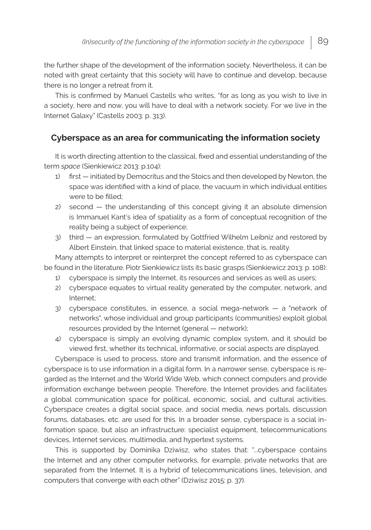the further shape of the development of the information society. Nevertheless, it can be noted with great certainty that this society will have to continue and develop, because there is no longer a retreat from it.

This is confirmed by Manuel Castells who writes, "for as long as you wish to live in a society, here and now, you will have to deal with a network society. For we live in the Internet Galaxy" (Castells 2003: p. 313).

# **Cyberspace as an area for communicating the information society**

It is worth directing attention to the classical, fixed and essential understanding of the term *space* (Sienkiewicz 2013: p.104):

- 1) first initiated by Democritus and the Stoics and then developed by Newton, the space was identified with a kind of place, the vacuum in which individual entities were to be filled;
- 2) second the understanding of this concept giving it an absolute dimension is Immanuel Kant's idea of spatiality as a form of conceptual recognition of the reality being a subject of experience;
- 3) third an expression, formulated by Gottfried Wilhelm Leibniz and restored by Albert Einstein, that linked space to material existence, that is, reality.

Many attempts to interpret or reinterpret the concept referred to as cyberspace can be found in the literature. Piotr Sienkiewicz lists its basic grasps (Sienkiewicz 2013: p. 108):

- 1) cyberspace is simply the Internet, its resources and services as well as users;
- 2) cyberspace equates to virtual reality generated by the computer, network, and Internet;
- 3) cyberspace constitutes, in essence, a social mega-network a "network of networks", whose individual and group participants (communities) exploit global resources provided by the Internet (general — network);
- 4) cyberspace is simply an evolving dynamic complex system, and it should be viewed first, whether its technical, informative, or social aspects are displayed.

Cyberspace is used to process, store and transmit information, and the essence of cyberspace is to use information in a digital form. In a narrower sense, cyberspace is regarded as the Internet and the World Wide Web, which connect computers and provide information exchange between people. Therefore, the Internet provides and facilitates a global communication space for political, economic, social, and cultural activities. Cyberspace creates a digital social space, and social media, news portals, discussion forums, databases, etc. are used for this. In a broader sense, cyberspace is a social information space, but also an infrastructure: specialist equipment, telecommunications devices, Internet services, multimedia, and hypertext systems.

This is supported by Dominika Dziwisz, who states that: "...cyberspace contains the Internet and any other computer networks, for example, private networks that are separated from the Internet. It is a hybrid of telecommunications lines, television, and computers that converge with each other" (Dziwisz 2015: p. 37).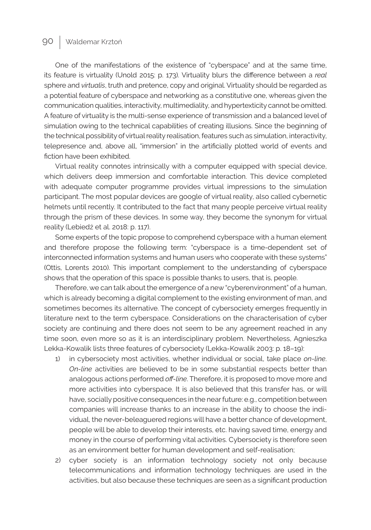One of the manifestations of the existence of "cyberspace" and at the same time, its feature is virtuality (Unold 2015: p. 173). Virtuality blurs the difference between a *real* sphere and *virtualis*, truth and pretence, copy and original. Virtuality should be regarded as a potential feature of cyberspace and networking as a constitutive one, whereas given the communication qualities, interactivity, multimediality, and hypertexticity cannot be omitted. A feature of virtuality is the multi-sense experience of transmission and a balanced level of simulation owing to the technical capabilities of creating illusions. Since the beginning of the technical possibility of virtual reality realisation, features such as simulation, interactivity, telepresence and, above all, "immersion" in the artificially plotted world of events and fiction have been exhibited.

Virtual reality connotes intrinsically with a computer equipped with special device, which delivers deep immersion and comfortable interaction. This device completed with adequate computer programme provides virtual impressions to the simulation participant. The most popular devices are google of virtual reality, also called cybernetic helmets until recently. It contributed to the fact that many people perceive virtual reality through the prism of these devices. In some way, they become the synonym for virtual reality (Lebiedź et al. 2018: p. 117).

Some experts of the topic propose to comprehend cyberspace with a human element and therefore propose the following term: "cyberspace is a time-dependent set of interconnected information systems and human users who cooperate with these systems" (Ottis, Lorents 2010). This important complement to the understanding of cyberspace shows that the operation of this space is possible thanks to users, that is, people.

Therefore, we can talk about the emergence of a new "cyberenvironment" of a human, which is already becoming a digital complement to the existing environment of man, and sometimes becomes its alternative. The concept of cybersociety emerges frequently in literature next to the term cyberspace. Considerations on the characterisation of cyber society are continuing and there does not seem to be any agreement reached in any time soon, even more so as it is an interdisciplinary problem. Nevertheless, Agnieszka Lekka-Kowalik lists three features of cybersociety (Lekka-Kowalik 2003: p. 18–19):

- 1) in cybersociety most activities, whether individual or social, take place *on-line*. *On-line* activities are believed to be in some substantial respects better than analogous actions performed *off-line*. Therefore, it is proposed to move more and more activities into cyberspace. It is also believed that this transfer has, or will have, socially positive consequences in the near future: e.g., competition between companies will increase thanks to an increase in the ability to choose the individual, the never-beleaguered regions will have a better chance of development, people will be able to develop their interests, etc. having saved time, energy and money in the course of performing vital activities. Cybersociety is therefore seen as an environment better for human development and self-realisation;
- 2) cyber society is an information technology society not only because telecommunications and information technology techniques are used in the activities, but also because these techniques are seen as a significant production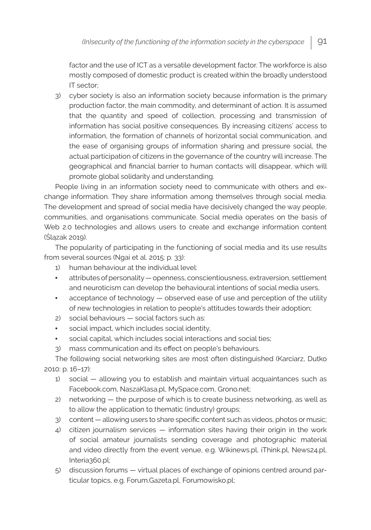factor and the use of ICT as a versatile development factor. The workforce is also mostly composed of domestic product is created within the broadly understood IT sector;

3) cyber society is also an information society because information is the primary production factor, the main commodity, and determinant of action. It is assumed that the quantity and speed of collection, processing and transmission of information has social positive consequences. By increasing citizens' access to information, the formation of channels of horizontal social communication, and the ease of organising groups of information sharing and pressure social, the actual participation of citizens in the governance of the country will increase. The geographical and financial barrier to human contacts will disappear, which will promote global solidarity and understanding.

People living in an information society need to communicate with others and exchange information. They share information among themselves through social media. The development and spread of social media have decisively changed the way people, communities, and organisations communicate. Social media operates on the basis of Web 2.0 technologies and allows users to create and exchange information content (Ślązak 2019).

The popularity of participating in the functioning of social media and its use results from several sources (Ngai et al. 2015: p. 33):

- 1) human behaviour at the individual level:
- attributes of personality openness, conscientiousness, extraversion, settlement and neuroticism can develop the behavioural intentions of social media users,
- acceptance of technology observed ease of use and perception of the utility of new technologies in relation to people's attitudes towards their adoption;
- 2) social behaviours social factors such as:
- social impact, which includes social identity,
- social capital, which includes social interactions and social ties;
- 3) mass communication and its effect on people's behaviours.

The following social networking sites are most often distinguished (Karciarz, Dutko 2010: p. 16–17):

- 1) social allowing you to establish and maintain virtual acquaintances such as Facebook.com, NaszaKlasa.pl, MySpace.com, Grono.net;
- 2) networking the purpose of which is to create business networking, as well as to allow the application to thematic (industry) groups;
- 3) content allowing users to share specific content such as videos, photos or music;
- 4) citizen journalism services information sites having their origin in the work of social amateur journalists sending coverage and photographic material and video directly from the event venue, e.g. Wikinews.pl, iThink.pl, News24.pl, Interia360.pl;
- 5) discussion forums virtual places of exchange of opinions centred around particular topics, e.g. Forum.Gazeta.pl, Forumowisko.pl;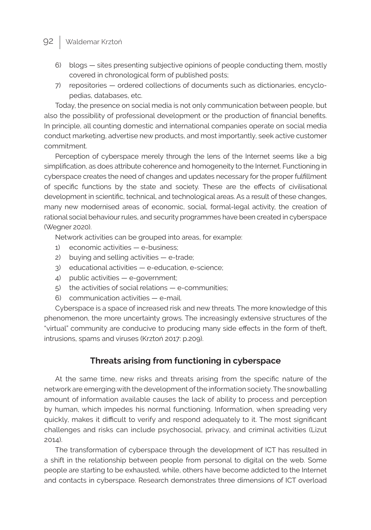- 6) blogs sites presenting subjective opinions of people conducting them, mostly covered in chronological form of published posts;
- 7) repositories ordered collections of documents such as dictionaries, encyclopedias, databases, etc.

Today, the presence on social media is not only communication between people, but also the possibility of professional development or the production of financial benefits. In principle, all counting domestic and international companies operate on social media conduct marketing, advertise new products, and most importantly, seek active customer commitment.

Perception of cyberspace merely through the lens of the Internet seems like a big simplification, as does attribute coherence and homogeneity to the Internet. Functioning in cyberspace creates the need of changes and updates necessary for the proper fulfillment of specific functions by the state and society. These are the effects of civilisational development in scientific, technical, and technological areas. As a result of these changes, many new modernised areas of economic, social, formal-legal activity, the creation of rational social behaviour rules, and security programmes have been created in cyberspace (Wegner 2020).

Network activities can be grouped into areas, for example:

- 1) economic activities e-business;
- 2) buying and selling activities e-trade;
- 3) educational activities e-education, e-science;
- 4) public activities e-government;
- 5) the activities of social relations e-communities;
- 6) communication activities e-mail.

Cyberspace is a space of increased risk and new threats. The more knowledge of this phenomenon, the more uncertainty grows. The increasingly extensive structures of the "virtual" community are conducive to producing many side effects in the form of theft, intrusions, spams and viruses (Krztoń 2017: p.209).

# **Threats arising from functioning in cyberspace**

At the same time, new risks and threats arising from the specific nature of the network are emerging with the development of the information society. The snowballing amount of information available causes the lack of ability to process and perception by human, which impedes his normal functioning. Information, when spreading very quickly, makes it difficult to verify and respond adequately to it. The most significant challenges and risks can include psychosocial, privacy, and criminal activities (Lizut 2014).

The transformation of cyberspace through the development of ICT has resulted in a shift in the relationship between people from personal to digital on the web. Some people are starting to be exhausted, while, others have become addicted to the Internet and contacts in cyberspace. Research demonstrates three dimensions of ICT overload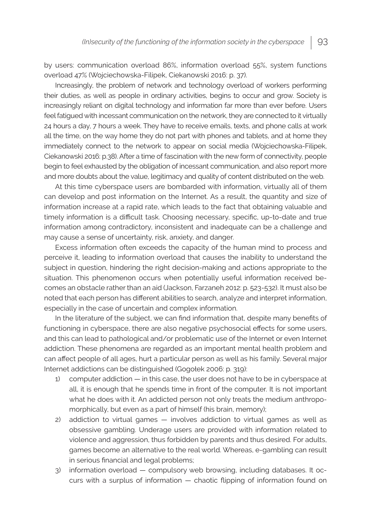by users: communication overload 86%, information overload 55%, system functions overload 47% (Wojciechowska-Filipek, Ciekanowski 2016: p. 37).

Increasingly, the problem of network and technology overload of workers performing their duties, as well as people in ordinary activities, begins to occur and grow. Society is increasingly reliant on digital technology and information far more than ever before. Users feel fatigued with incessant communication on the network, they are connected to it virtually 24 hours a day, 7 hours a week. They have to receive emails, texts, and phone calls at work all the time, on the way home they do not part with phones and tablets, and at home they immediately connect to the network to appear on social media (Wojciechowska-Filipek, Ciekanowski 2016: p.38). After a time of fascination with the new form of connectivity, people begin to feel exhausted by the obligation of incessant communication, and also report more and more doubts about the value, legitimacy and quality of content distributed on the web.

At this time cyberspace users are bombarded with information, virtually all of them can develop and post information on the Internet. As a result, the quantity and size of information increase at a rapid rate, which leads to the fact that obtaining valuable and timely information is a difficult task. Choosing necessary, specific, up-to-date and true information among contradictory, inconsistent and inadequate can be a challenge and may cause a sense of uncertainty, risk, anxiety, and danger.

Excess information often exceeds the capacity of the human mind to process and perceive it, leading to information overload that causes the inability to understand the subject in question, hindering the right decision-making and actions appropriate to the situation. This phenomenon occurs when potentially useful information received becomes an obstacle rather than an aid (Jackson, Farzaneh 2012: p. 523-532). It must also be noted that each person has different abilities to search, analyze and interpret information, especially in the case of uncertain and complex information.

In the literature of the subject, we can find information that, despite many benefits of functioning in cyberspace, there are also negative psychosocial effects for some users, and this can lead to pathological and/or problematic use of the Internet or even Internet addiction. These phenomena are regarded as an important mental health problem and can affect people of all ages, hurt a particular person as well as his family. Several major Internet addictions can be distinguished (Gogołek 2006: p. 319):

- 1) computer addiction in this case, the user does not have to be in cyberspace at all, it is enough that he spends time in front of the computer. It is not important what he does with it. An addicted person not only treats the medium anthropomorphically, but even as a part of himself (his brain, memory);
- 2) addiction to virtual games involves addiction to virtual games as well as obsessive gambling. Underage users are provided with information related to violence and aggression, thus forbidden by parents and thus desired. For adults, games become an alternative to the real world. Whereas, e-gambling can result in serious financial and legal problems;
- 3) information overload compulsory web browsing, including databases. It occurs with a surplus of information — chaotic flipping of information found on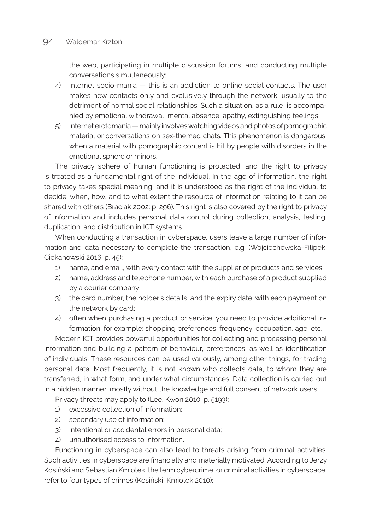the web, participating in multiple discussion forums, and conducting multiple conversations simultaneously;

- 4) Internet socio-mania this is an addiction to online social contacts. The user makes new contacts only and exclusively through the network, usually to the detriment of normal social relationships. Such a situation, as a rule, is accompanied by emotional withdrawal, mental absence, apathy, extinguishing feelings;
- 5) Internet erotomania mainly involves watching videos and photos of pornographic material or conversations on sex-themed chats. This phenomenon is dangerous, when a material with pornographic content is hit by people with disorders in the emotional sphere or minors.

The privacy sphere of human functioning is protected, and the right to privacy is treated as a fundamental right of the individual. In the age of information, the right to privacy takes special meaning, and it is understood as the right of the individual to decide: when, how, and to what extent the resource of information relating to it can be shared with others (Braciak 2002: p. 296). This right is also covered by the right to privacy of information and includes personal data control during collection, analysis, testing, duplication, and distribution in ICT systems.

When conducting a transaction in cyberspace, users leave a large number of information and data necessary to complete the transaction, e.g. (Wojciechowska-Filipek, Ciekanowski 2016: p. 45):

- 1) name, and email, with every contact with the supplier of products and services;
- 2) name, address and telephone number, with each purchase of a product supplied by a courier company;
- 3) the card number, the holder's details, and the expiry date, with each payment on the network by card;
- 4) often when purchasing a product or service, you need to provide additional information, for example: shopping preferences, frequency, occupation, age, etc.

Modern ICT provides powerful opportunities for collecting and processing personal information and building a pattern of behaviour, preferences, as well as identification of individuals. These resources can be used variously, among other things, for trading personal data. Most frequently, it is not known who collects data, to whom they are transferred, in what form, and under what circumstances. Data collection is carried out in a hidden manner, mostly without the knowledge and full consent of network users.

Privacy threats may apply to (Lee, Kwon 2010: p. 5193):

- 1) excessive collection of information;
- 2) secondary use of information;
- 3) intentional or accidental errors in personal data;
- 4) unauthorised access to information.

Functioning in cyberspace can also lead to threats arising from criminal activities. Such activities in cyberspace are financially and materially motivated. According to Jerzy Kosiński and Sebastian Kmiotek, the term cybercrime, or criminal activities in cyberspace, refer to four types of crimes (Kosiński, Kmiotek 2010):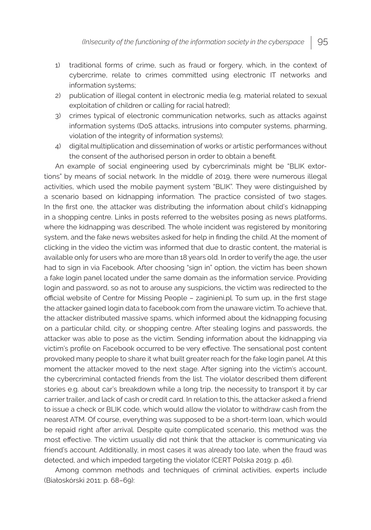- 1) traditional forms of crime, such as fraud or forgery, which, in the context of cybercrime, relate to crimes committed using electronic IT networks and information systems;
- 2) publication of illegal content in electronic media (e.g. material related to sexual exploitation of children or calling for racial hatred);
- 3) crimes typical of electronic communication networks, such as attacks against information systems (DoS attacks, intrusions into computer systems, pharming, violation of the integrity of information systems);
- 4) digital multiplication and dissemination of works or artistic performances without the consent of the authorised person in order to obtain a benefit.

An example of social engineering used by cybercriminals might be "BLIK extortions" by means of social network. In the middle of 2019, there were numerous illegal activities, which used the mobile payment system "BLIK". They were distinguished by a scenario based on kidnapping information. The practice consisted of two stages. In the first one, the attacker was distributing the information about child's kidnapping in a shopping centre. Links in posts referred to the websites posing as news platforms, where the kidnapping was described. The whole incident was registered by monitoring system, and the fake news websites asked for help in finding the child. At the moment of clicking in the video the victim was informed that due to drastic content, the material is available only for users who are more than 18 years old. In order to verify the age, the user had to sign in via Facebook. After choosing "sign in" option, the victim has been shown a fake login panel located under the same domain as the information service. Providing login and password, so as not to arouse any suspicions, the victim was redirected to the official website of Centre for Missing People – zaginieni.pl. To sum up, in the first stage the attacker gained login data to facebook.com from the unaware victim. To achieve that, the attacker distributed massive spams, which informed about the kidnapping focusing on a particular child, city, or shopping centre. After stealing logins and passwords, the attacker was able to pose as the victim. Sending information about the kidnapping via victim's profile on Facebook occurred to be very effective. The sensational post content provoked many people to share it what built greater reach for the fake login panel. At this moment the attacker moved to the next stage. After signing into the victim's account, the cybercriminal contacted friends from the list. The violator described them different stories e.g. about car's breakdown while a long trip, the necessity to transport it by car carrier trailer, and lack of cash or credit card. In relation to this, the attacker asked a friend to issue a check or BLIK code, which would allow the violator to withdraw cash from the nearest ATM. Of course, everything was supposed to be a short-term loan, which would be repaid right after arrival. Despite quite complicated scenario, this method was the most effective. The victim usually did not think that the attacker is communicating via friend's account. Additionally, in most cases it was already too late, when the fraud was detected, and which impeded targeting the violator (CERT Polska 2019: p. 46).

Among common methods and techniques of criminal activities, experts include (Białoskórski 2011: p. 68–69):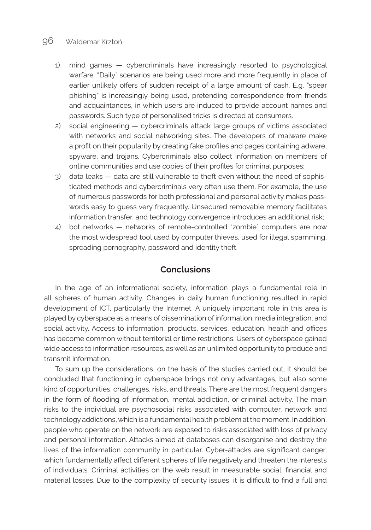- 1) mind games cybercriminals have increasingly resorted to psychological warfare. "Daily" scenarios are being used more and more frequently in place of earlier unlikely offers of sudden receipt of a large amount of cash. E.g. "spear phishing" is increasingly being used, pretending correspondence from friends and acquaintances, in which users are induced to provide account names and passwords. Such type of personalised tricks is directed at consumers.
- 2) social engineering cybercriminals attack large groups of victims associated with networks and social networking sites. The developers of malware make a profit on their popularity by creating fake profiles and pages containing adware, spyware, and trojans. Cybercriminals also collect information on members of online communities and use copies of their profiles for criminal purposes;
- 3) data leaks data are still vulnerable to theft even without the need of sophisticated methods and cybercriminals very often use them. For example, the use of numerous passwords for both professional and personal activity makes passwords easy to guess very frequently. Unsecured removable memory facilitates information transfer, and technology convergence introduces an additional risk;
- 4) bot networks networks of remote-controlled "zombie" computers are now the most widespread tool used by computer thieves, used for illegal spamming, spreading pornography, password and identity theft.

#### **Conclusions**

In the age of an informational society, information plays a fundamental role in all spheres of human activity. Changes in daily human functioning resulted in rapid development of ICT, particularly the Internet. A uniquely important role in this area is played by cyberspace as a means of dissemination of information, media integration, and social activity. Access to information, products, services, education, health and offices has become common without territorial or time restrictions. Users of cyberspace gained wide access to information resources, as well as an unlimited opportunity to produce and transmit information.

To sum up the considerations, on the basis of the studies carried out, it should be concluded that functioning in cyberspace brings not only advantages, but also some kind of opportunities, challenges, risks, and threats. There are the most frequent dangers in the form of flooding of information, mental addiction, or criminal activity. The main risks to the individual are psychosocial risks associated with computer, network and technology addictions, which is a fundamental health problem at the moment. In addition, people who operate on the network are exposed to risks associated with loss of privacy and personal information. Attacks aimed at databases can disorganise and destroy the lives of the information community in particular. Cyber-attacks are significant danger, which fundamentally affect different spheres of life negatively and threaten the interests of individuals. Criminal activities on the web result in measurable social, financial and material losses. Due to the complexity of security issues, it is difficult to find a full and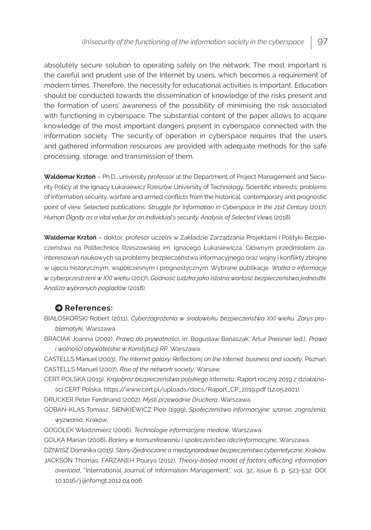absolutely secure solution to operating safely on the network. The most important is the careful and prudent use of the Internet by users, which becomes a requirement of modern times. Therefore, the necessity for educational activities is important. Education should be conducted towards the dissemination of knowledge of the risks present and the formation of users' awareness of the possibility of minimising the risk associated with functioning in cyberspace. The substantial content of the paper allows to acquire knowledge of the most important dangers present in cyberspace connected with the information society. The security of operation in cyberspace requires that the users and gathered information resources are provided with adequate methods for the safe processing, storage, and transmission of them.

**Waldemar Krztoń** – Ph.D., university professor at the Department of Project Management and Security Policy at the Ignacy Łukasiewicz Rzeszów University of Technology. Scientific interests: problems of information security, warfare and armed conflicts from the historical, contemporary and prognostic point of view. Selected publications: Struggle for Information in Cyberspace in the 21st Century (2017); *Human Dignity as a vital value for an individual's security. Analysis of Selected Views* (2018).

**Waldemar Krztoń** – doktor, profesor uczelni w Zakładzie Zarządzania Projektami i Polityki Bezpieczeństwa na Politechnice Rzeszowskiej im. Ignacego Łukasiewicza. Głównym przedmiotem zainteresowań naukowych są problemy bezpieczeństwa informacyjnego oraz wojny i konflikty zbrojne w ujęciu historycznym, współczesnym i prognostycznym. Wybrane publikacje: *Walka o informację w cyberprzestrzeni w XXI wieku* (2017); *Godność ludzka jako istotna wartość bezpieczeństwa jednostki. Analiza wybranych poglądów* (2018).

#### **O** References:

- BIAŁOSKÓRSKI Robert (2011), *Cyberzagrożenia w środowisku bezpieczeństwa XXI wieku. Zarys problematyki,* Warszawa.
- BRACIAK Joanna (2002), *Prawo do prywatności*, in: Bogusław Banaszak, Artur Preisner (ed.), *Prawa i wolności obywatelskie w Konstytucji RP*, Warszawa.

CASTELLS Manuel (2003), *The Internet galaxy. Reflections on the Internet, business and society*, Poznań. CASTELLS Manuel (2007), *Rise of the network society*, Warsaw.

CERT POLSKA (2019), *Krajobraz bezpieczeństwa polskiego internetu*, Raport roczny 2019 z działalności CERT Polska, https://www.cert.pl/uploads/docs/Raport\_CP\_2019.pdf (12.05.2021).

DRUCKER Peter Ferdinand (2002), *Myśli przewodnie Druckera*, Warszawa.

GOBAN-KLAS Tomasz, SIENKIEWICZ Piotr (1999), *Społeczeństwo informacyjne: szanse, zagrożenia, wyzwania*, Kraków.

GOGOŁEK Włodzimierz (2006), *Technologie informacyjne mediów*, Warszawa.

GOLKA Marian (2008), *Bariery w komunikowaniu i społeczeństwo (dez)informacyjne*, Warszawa.

DZIWISZ Dominika (2015), *Stany Zjednoczone a międzynarodowe bezpieczeństwo cybernetyczne*, Kraków. JACKSON Thomas, FARZANEH Pourya (2012), *Theory-based model of factors affecting information overload*, "International Journal of Information Management", vol. 32, issue 6, p. 523-532. DOI: 10.1016/j.ijinfomgt.2012.04.006